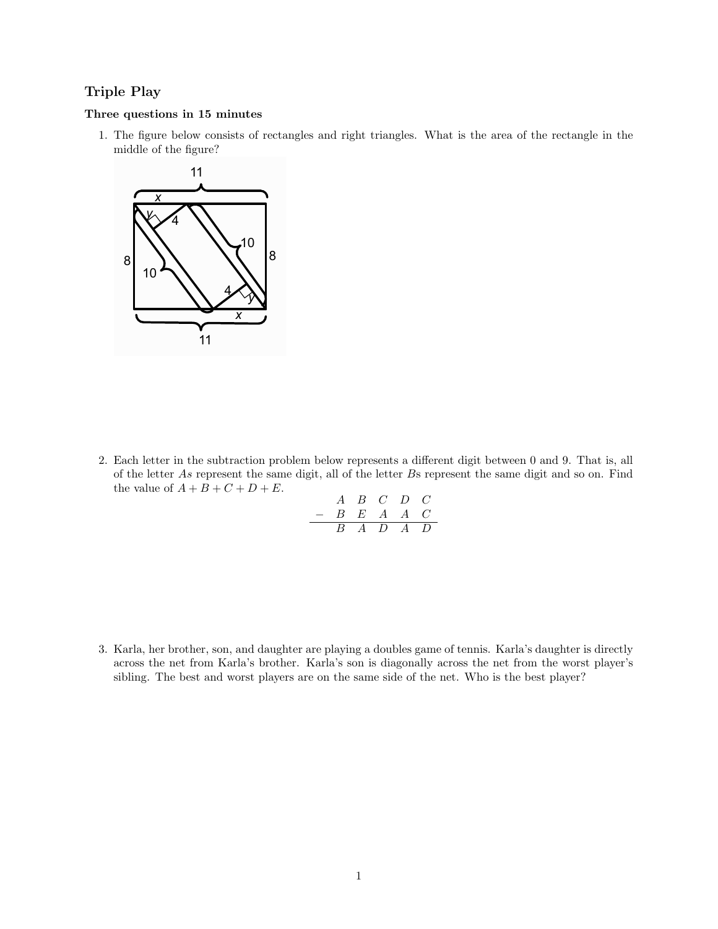## Triple Play

## Three questions in 15 minutes

1. The figure below consists of rectangles and right triangles. What is the area of the rectangle in the middle of the figure?



2. Each letter in the subtraction problem below represents a different digit between 0 and 9. That is, all of the letter As represent the same digit, all of the letter Bs represent the same digit and so on. Find the value of  $A + B + C + D + E$ .

$$
\begin{array}{c c c c c c c c c} & A & B & C & D & C \\ \hline & B & E & A & A & C \\ \hline & B & A & D & A & D \\ \end{array}
$$

3. Karla, her brother, son, and daughter are playing a doubles game of tennis. Karla's daughter is directly across the net from Karla's brother. Karla's son is diagonally across the net from the worst player's sibling. The best and worst players are on the same side of the net. Who is the best player?